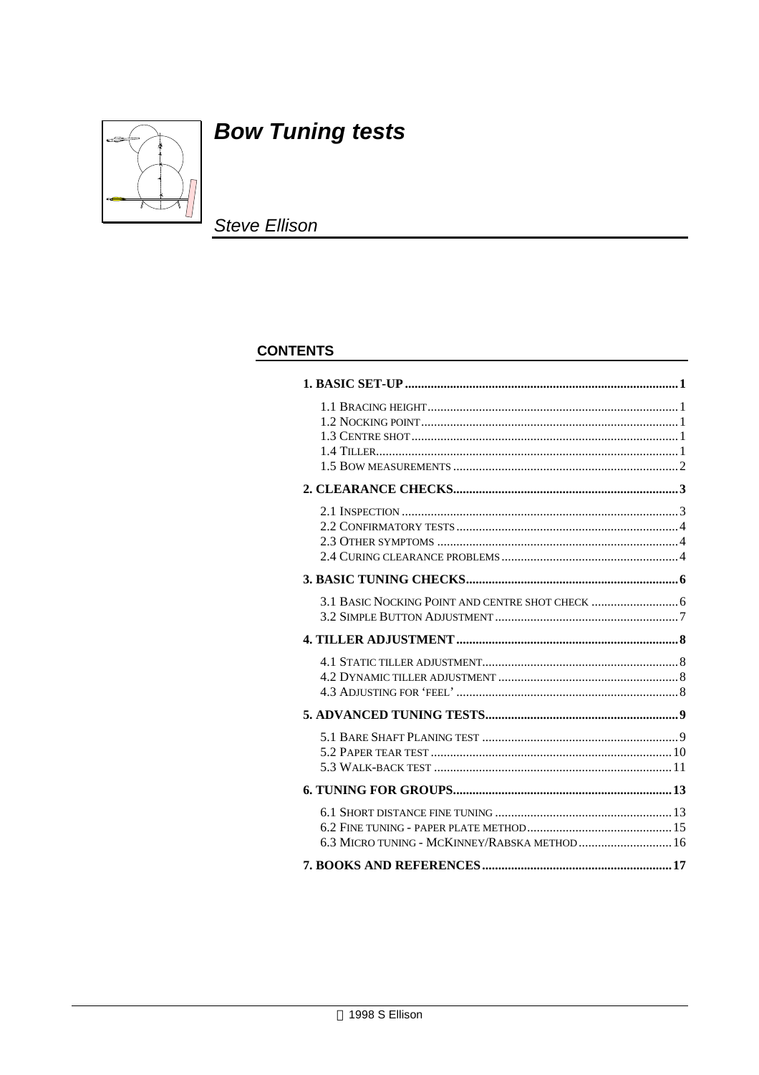

# **Bow Tuning tests**

**Steve Ellison** 

### **CONTENTS**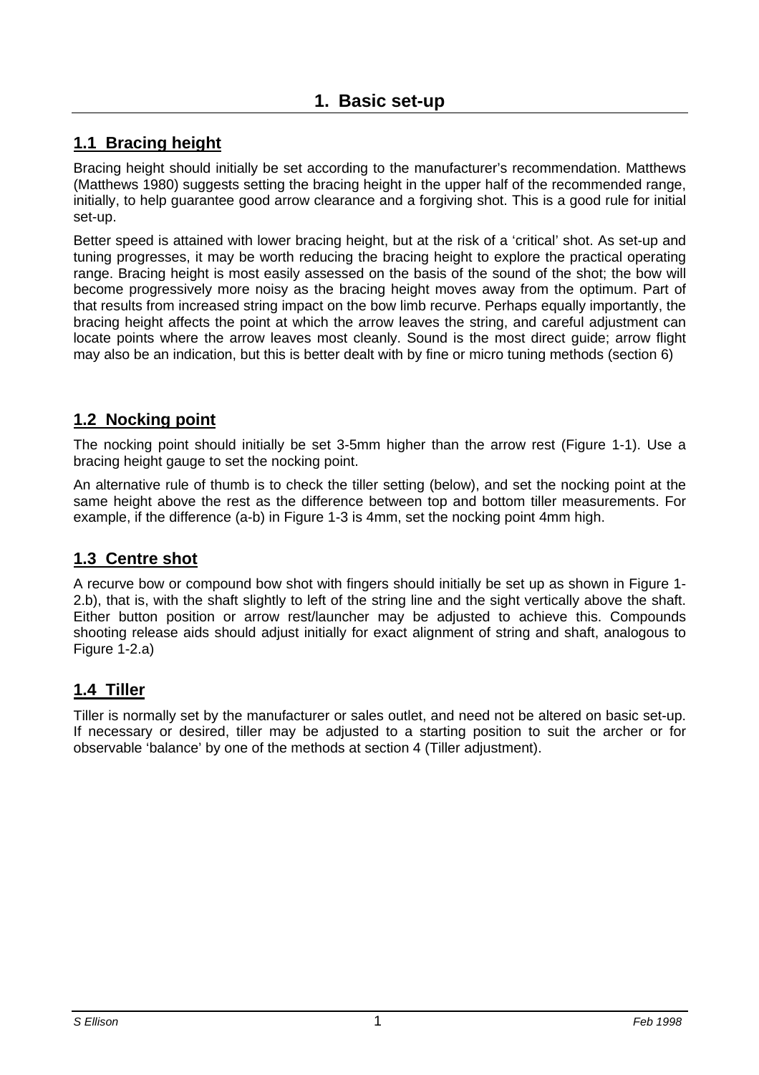# **1. Basic set-up**

# **1.1 Bracing height**

Bracing height should initially be set according to the manufacturer's recommendation. Matthews (Matthews 1980) suggests setting the bracing height in the upper half of the recommended range, initially, to help guarantee good arrow clearance and a forgiving shot. This is a good rule for initial set-up.

Better speed is attained with lower bracing height, but at the risk of a 'critical' shot. As set-up and tuning progresses, it may be worth reducing the bracing height to explore the practical operating range. Bracing height is most easily assessed on the basis of the sound of the shot; the bow will become progressively more noisy as the bracing height moves away from the optimum. Part of that results from increased string impact on the bow limb recurve. Perhaps equally importantly, the bracing height affects the point at which the arrow leaves the string, and careful adjustment can locate points where the arrow leaves most cleanly. Sound is the most direct guide; arrow flight may also be an indication, but this is better dealt with by fine or micro tuning methods (section 6)

### **1.2 Nocking point**

The nocking point should initially be set 3-5mm higher than the arrow rest (Figure 1-1). Use a bracing height gauge to set the nocking point.

An alternative rule of thumb is to check the tiller setting (below), and set the nocking point at the same height above the rest as the difference between top and bottom tiller measurements. For example, if the difference (a-b) in Figure 1-3 is 4mm, set the nocking point 4mm high.

## **1.3 Centre shot**

A recurve bow or compound bow shot with fingers should initially be set up as shown in Figure 1- 2.b), that is, with the shaft slightly to left of the string line and the sight vertically above the shaft. Either button position or arrow rest/launcher may be adjusted to achieve this. Compounds shooting release aids should adjust initially for exact alignment of string and shaft, analogous to Figure 1-2.a)

### **1.4 Tiller**

Tiller is normally set by the manufacturer or sales outlet, and need not be altered on basic set-up. If necessary or desired, tiller may be adjusted to a starting position to suit the archer or for observable 'balance' by one of the methods at section 4 (Tiller adjustment).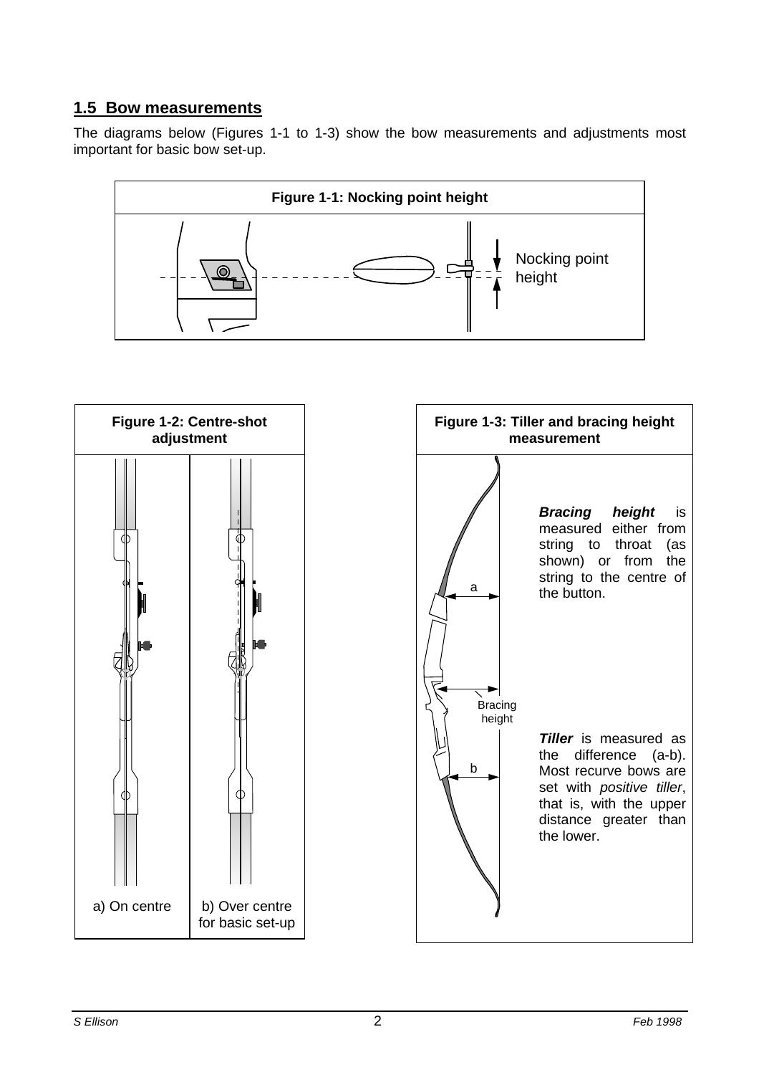### **1.5 Bow measurements**

The diagrams below (Figures 1-1 to 1-3) show the bow measurements and adjustments most important for basic bow set-up.



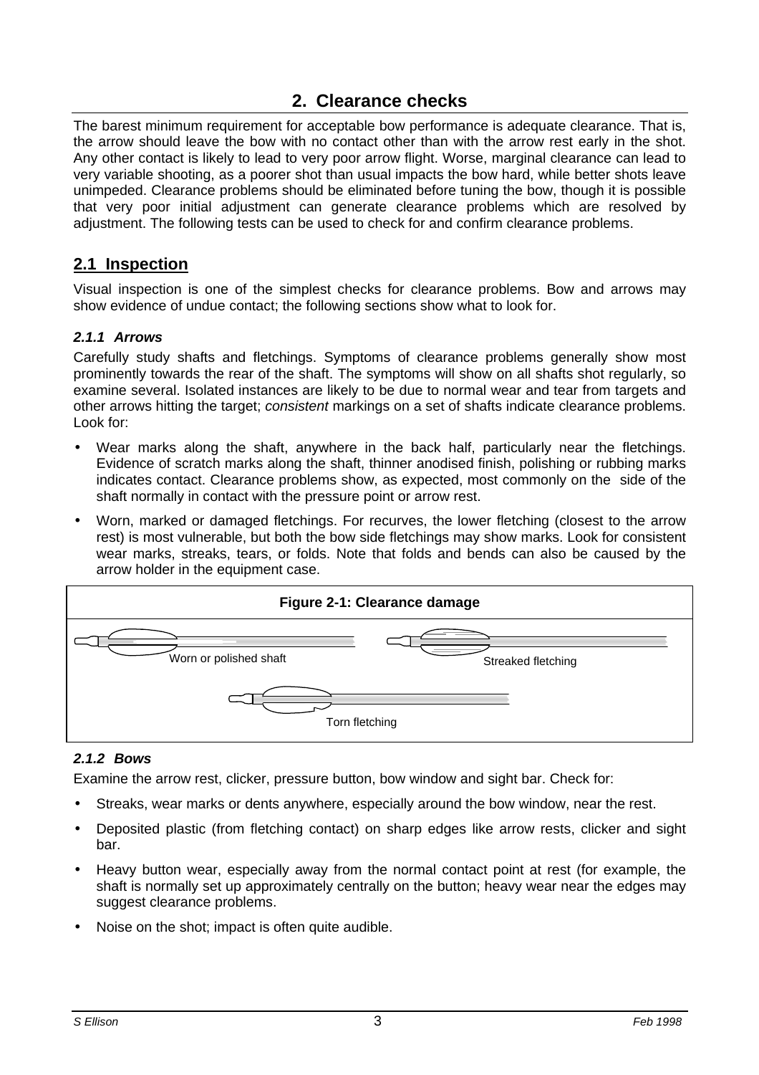# **2. Clearance checks**

The barest minimum requirement for acceptable bow performance is adequate clearance. That is, the arrow should leave the bow with no contact other than with the arrow rest early in the shot. Any other contact is likely to lead to very poor arrow flight. Worse, marginal clearance can lead to very variable shooting, as a poorer shot than usual impacts the bow hard, while better shots leave unimpeded. Clearance problems should be eliminated before tuning the bow, though it is possible that very poor initial adjustment can generate clearance problems which are resolved by adjustment. The following tests can be used to check for and confirm clearance problems.

### **2.1 Inspection**

Visual inspection is one of the simplest checks for clearance problems. Bow and arrows may show evidence of undue contact; the following sections show what to look for.

### *2.1.1 Arrows*

Carefully study shafts and fletchings. Symptoms of clearance problems generally show most prominently towards the rear of the shaft. The symptoms will show on all shafts shot regularly, so examine several. Isolated instances are likely to be due to normal wear and tear from targets and other arrows hitting the target; *consistent* markings on a set of shafts indicate clearance problems. Look for:

- Wear marks along the shaft, anywhere in the back half, particularly near the fletchings. Evidence of scratch marks along the shaft, thinner anodised finish, polishing or rubbing marks indicates contact. Clearance problems show, as expected, most commonly on the side of the shaft normally in contact with the pressure point or arrow rest.
- Worn, marked or damaged fletchings. For recurves, the lower fletching (closest to the arrow rest) is most vulnerable, but both the bow side fletchings may show marks. Look for consistent wear marks, streaks, tears, or folds. Note that folds and bends can also be caused by the arrow holder in the equipment case.



#### *2.1.2 Bows*

Examine the arrow rest, clicker, pressure button, bow window and sight bar. Check for:

- Streaks, wear marks or dents anywhere, especially around the bow window, near the rest.
- Deposited plastic (from fletching contact) on sharp edges like arrow rests, clicker and sight bar.
- Heavy button wear, especially away from the normal contact point at rest (for example, the shaft is normally set up approximately centrally on the button; heavy wear near the edges may suggest clearance problems.
- Noise on the shot; impact is often quite audible.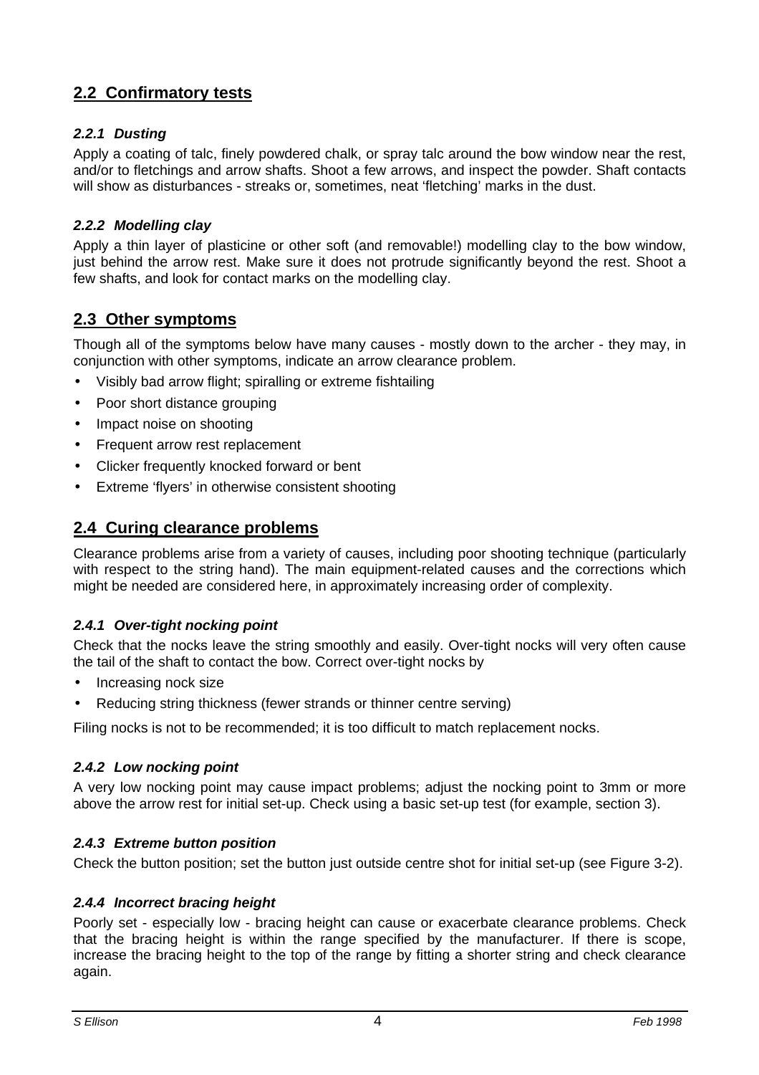# **2.2 Confirmatory tests**

### *2.2.1 Dusting*

Apply a coating of talc, finely powdered chalk, or spray talc around the bow window near the rest, and/or to fletchings and arrow shafts. Shoot a few arrows, and inspect the powder. Shaft contacts will show as disturbances - streaks or, sometimes, neat 'fletching' marks in the dust.

### *2.2.2 Modelling clay*

Apply a thin layer of plasticine or other soft (and removable!) modelling clay to the bow window, just behind the arrow rest. Make sure it does not protrude significantly beyond the rest. Shoot a few shafts, and look for contact marks on the modelling clay.

### **2.3 Other symptoms**

Though all of the symptoms below have many causes - mostly down to the archer - they may, in conjunction with other symptoms, indicate an arrow clearance problem.

- Visibly bad arrow flight; spiralling or extreme fishtailing
- Poor short distance grouping
- Impact noise on shooting
- Frequent arrow rest replacement
- Clicker frequently knocked forward or bent
- Extreme 'flyers' in otherwise consistent shooting

### **2.4 Curing clearance problems**

Clearance problems arise from a variety of causes, including poor shooting technique (particularly with respect to the string hand). The main equipment-related causes and the corrections which might be needed are considered here, in approximately increasing order of complexity.

#### *2.4.1 Over-tight nocking point*

Check that the nocks leave the string smoothly and easily. Over-tight nocks will very often cause the tail of the shaft to contact the bow. Correct over-tight nocks by

- Increasing nock size
- Reducing string thickness (fewer strands or thinner centre serving)

Filing nocks is not to be recommended; it is too difficult to match replacement nocks.

#### *2.4.2 Low nocking point*

A very low nocking point may cause impact problems; adjust the nocking point to 3mm or more above the arrow rest for initial set-up. Check using a basic set-up test (for example, section 3).

#### *2.4.3 Extreme button position*

Check the button position; set the button just outside centre shot for initial set-up (see Figure 3-2).

#### *2.4.4 Incorrect bracing height*

Poorly set - especially low - bracing height can cause or exacerbate clearance problems. Check that the bracing height is within the range specified by the manufacturer. If there is scope, increase the bracing height to the top of the range by fitting a shorter string and check clearance again.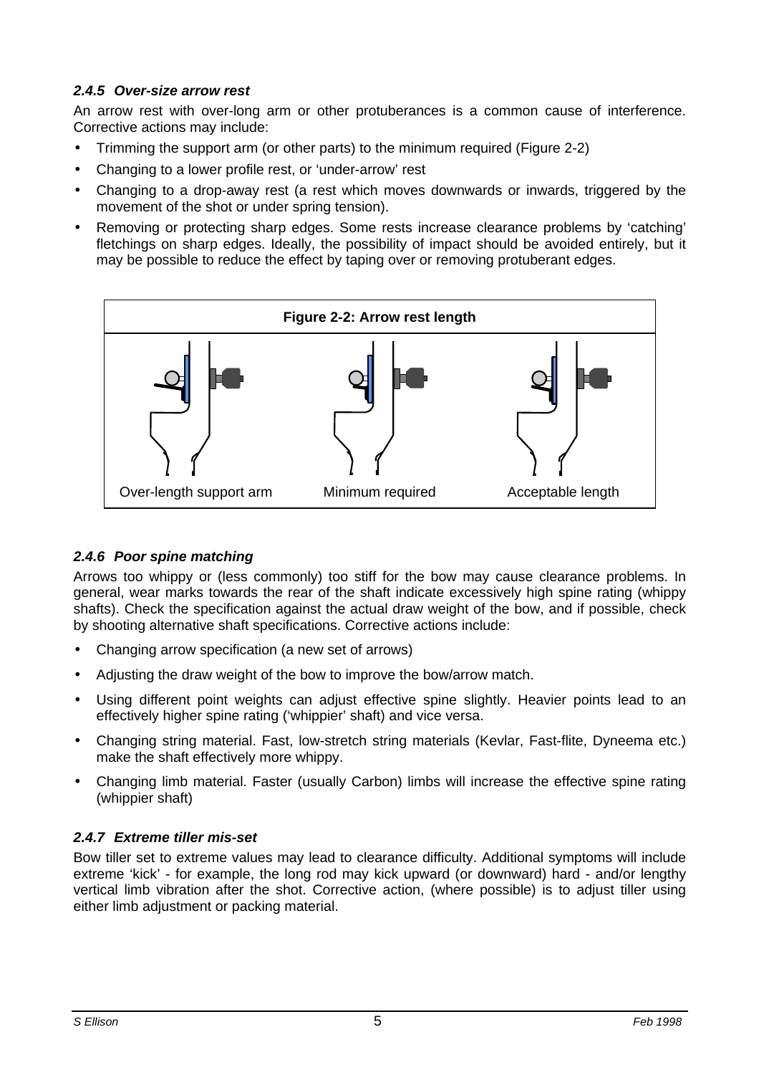### *2.4.5 Over-size arrow rest*

An arrow rest with over-long arm or other protuberances is a common cause of interference. Corrective actions may include:

- Trimming the support arm (or other parts) to the minimum required (Figure 2-2)
- Changing to a lower profile rest, or 'under-arrow' rest
- Changing to a drop-away rest (a rest which moves downwards or inwards, triggered by the movement of the shot or under spring tension).
- Removing or protecting sharp edges. Some rests increase clearance problems by 'catching' fletchings on sharp edges. Ideally, the possibility of impact should be avoided entirely, but it may be possible to reduce the effect by taping over or removing protuberant edges.



### *2.4.6 Poor spine matching*

Arrows too whippy or (less commonly) too stiff for the bow may cause clearance problems. In general, wear marks towards the rear of the shaft indicate excessively high spine rating (whippy shafts). Check the specification against the actual draw weight of the bow, and if possible, check by shooting alternative shaft specifications. Corrective actions include:

- Changing arrow specification (a new set of arrows)
- Adjusting the draw weight of the bow to improve the bow/arrow match.
- Using different point weights can adjust effective spine slightly. Heavier points lead to an effectively higher spine rating ('whippier' shaft) and vice versa.
- Changing string material. Fast, low-stretch string materials (Kevlar, Fast-flite, Dyneema etc.) make the shaft effectively more whippy.
- Changing limb material. Faster (usually Carbon) limbs will increase the effective spine rating (whippier shaft)

### *2.4.7 Extreme tiller mis-set*

Bow tiller set to extreme values may lead to clearance difficulty. Additional symptoms will include extreme 'kick' - for example, the long rod may kick upward (or downward) hard - and/or lengthy vertical limb vibration after the shot. Corrective action, (where possible) is to adjust tiller using either limb adjustment or packing material.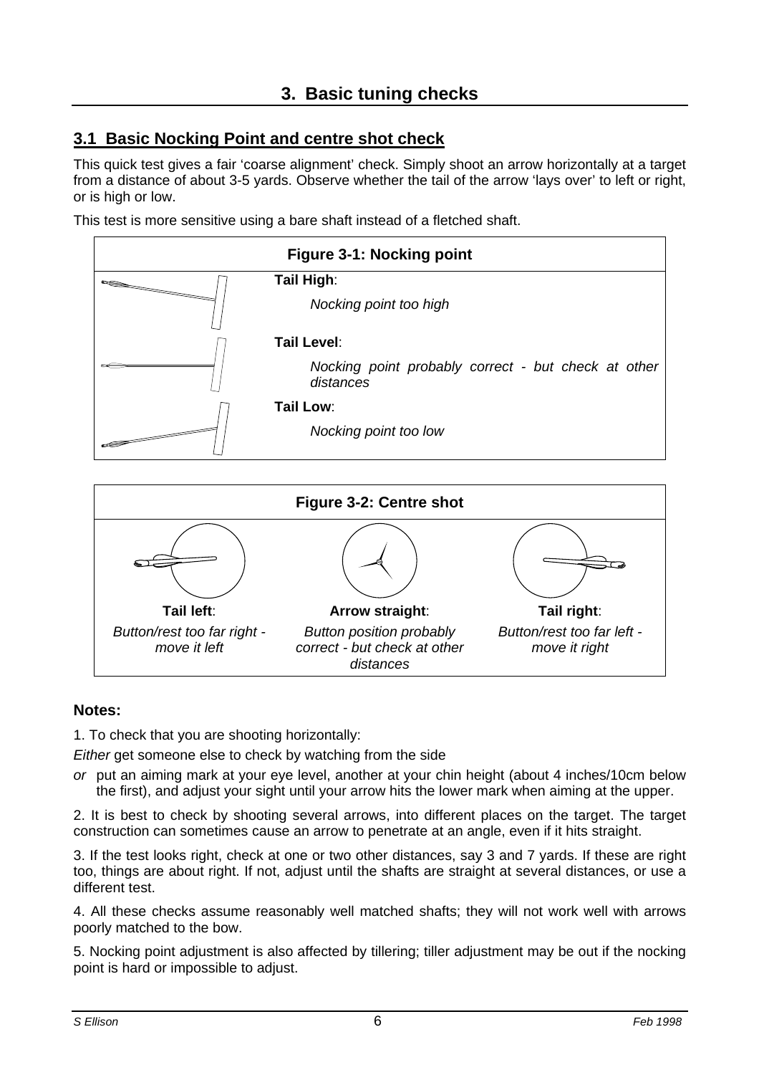# **3.1 Basic Nocking Point and centre shot check**

This quick test gives a fair 'coarse alignment' check. Simply shoot an arrow horizontally at a target from a distance of about 3-5 yards. Observe whether the tail of the arrow 'lays over' to left or right, or is high or low.

This test is more sensitive using a bare shaft instead of a fletched shaft.





#### **Notes:**

1. To check that you are shooting horizontally:

*Either* get someone else to check by watching from the side

*or* put an aiming mark at your eye level, another at your chin height (about 4 inches/10cm below the first), and adjust your sight until your arrow hits the lower mark when aiming at the upper.

2. It is best to check by shooting several arrows, into different places on the target. The target construction can sometimes cause an arrow to penetrate at an angle, even if it hits straight.

3. If the test looks right, check at one or two other distances, say 3 and 7 yards. If these are right too, things are about right. If not, adjust until the shafts are straight at several distances, or use a different test.

4. All these checks assume reasonably well matched shafts; they will not work well with arrows poorly matched to the bow.

5. Nocking point adjustment is also affected by tillering; tiller adjustment may be out if the nocking point is hard or impossible to adjust.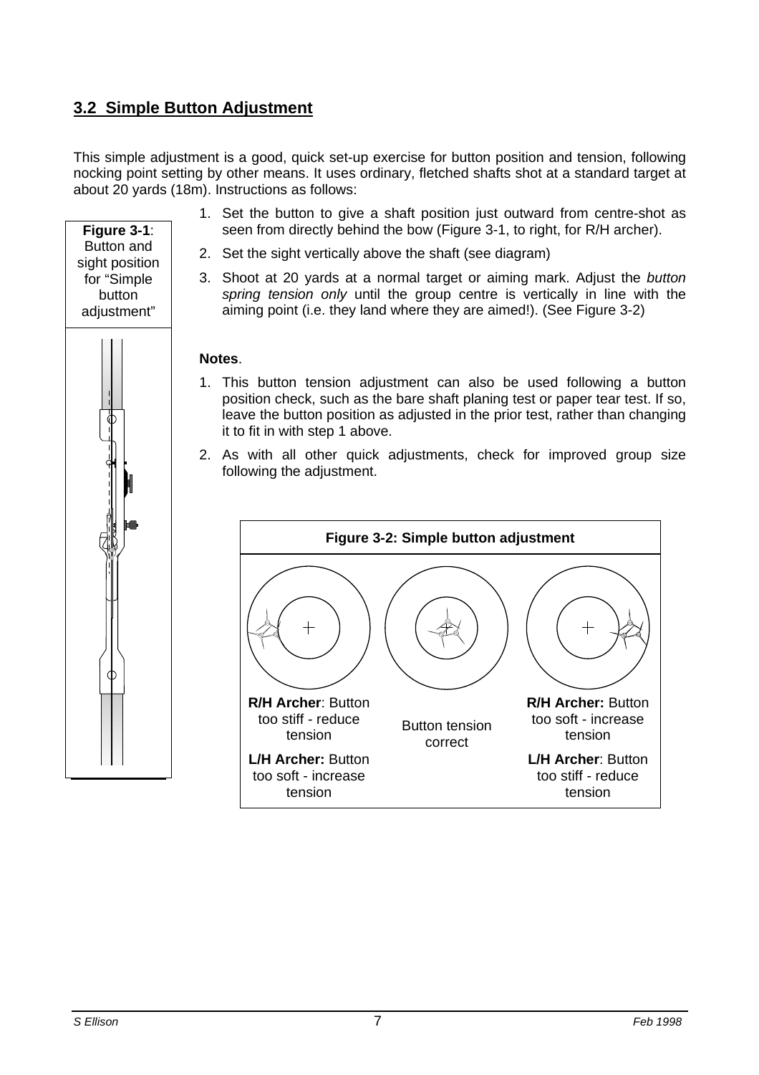# **3.2 Simple Button Adjustment**

**Figure 3-1**: Button and sight position for "Simple button adjustment"

This simple adjustment is a good, quick set-up exercise for button position and tension, following nocking point setting by other means. It uses ordinary, fletched shafts shot at a standard target at about 20 yards (18m). Instructions as follows:

- 1. Set the button to give a shaft position just outward from centre-shot as seen from directly behind the bow (Figure 3-1, to right, for R/H archer).
- 2. Set the sight vertically above the shaft (see diagram)
- 3. Shoot at 20 yards at a normal target or aiming mark. Adjust the *button spring tension only* until the group centre is vertically in line with the aiming point (i.e. they land where they are aimed!). (See Figure 3-2)

#### **Notes**.

- 1. This button tension adjustment can also be used following a button position check, such as the bare shaft planing test or paper tear test. If so, leave the button position as adjusted in the prior test, rather than changing it to fit in with step 1 above.
- 2. As with all other quick adjustments, check for improved group size following the adjustment.

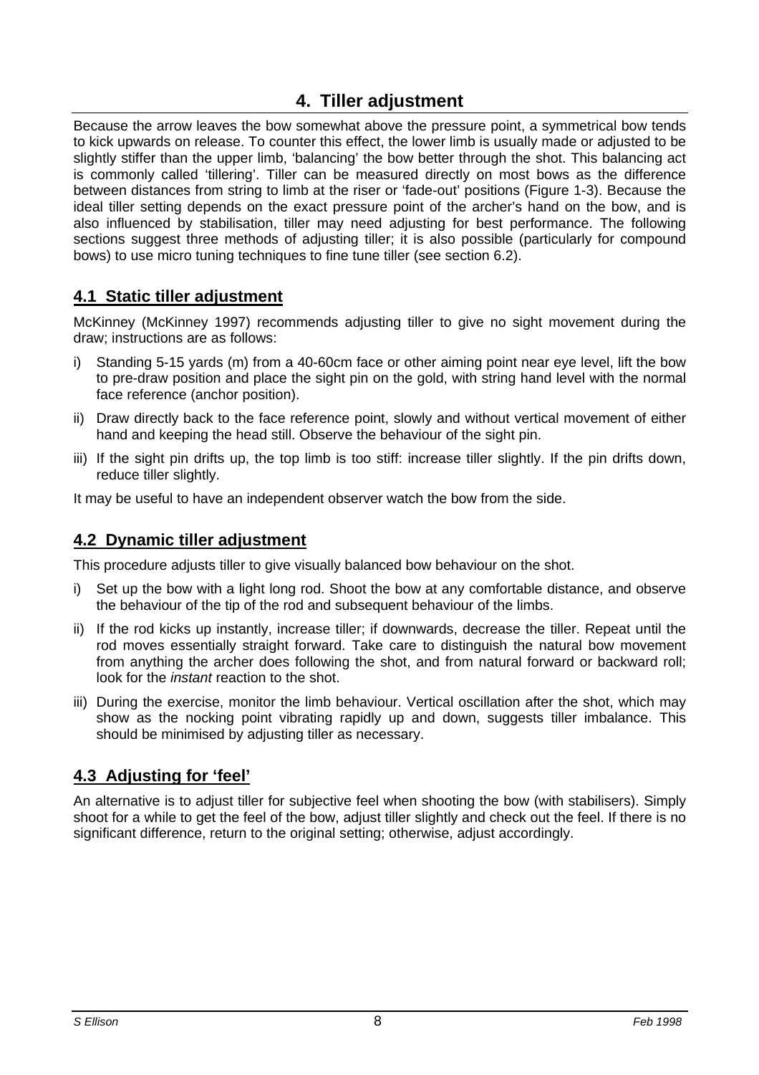# **4. Tiller adjustment**

Because the arrow leaves the bow somewhat above the pressure point, a symmetrical bow tends to kick upwards on release. To counter this effect, the lower limb is usually made or adjusted to be slightly stiffer than the upper limb, 'balancing' the bow better through the shot. This balancing act is commonly called 'tillering'. Tiller can be measured directly on most bows as the difference between distances from string to limb at the riser or 'fade-out' positions (Figure 1-3). Because the ideal tiller setting depends on the exact pressure point of the archer's hand on the bow, and is also influenced by stabilisation, tiller may need adjusting for best performance. The following sections suggest three methods of adjusting tiller; it is also possible (particularly for compound bows) to use micro tuning techniques to fine tune tiller (see section 6.2).

### **4.1 Static tiller adjustment**

McKinney (McKinney 1997) recommends adjusting tiller to give no sight movement during the draw; instructions are as follows:

- i) Standing 5-15 yards (m) from a 40-60cm face or other aiming point near eye level, lift the bow to pre-draw position and place the sight pin on the gold, with string hand level with the normal face reference (anchor position).
- ii) Draw directly back to the face reference point, slowly and without vertical movement of either hand and keeping the head still. Observe the behaviour of the sight pin.
- iii) If the sight pin drifts up, the top limb is too stiff: increase tiller slightly. If the pin drifts down, reduce tiller slightly.

It may be useful to have an independent observer watch the bow from the side.

### **4.2 Dynamic tiller adjustment**

This procedure adjusts tiller to give visually balanced bow behaviour on the shot.

- i) Set up the bow with a light long rod. Shoot the bow at any comfortable distance, and observe the behaviour of the tip of the rod and subsequent behaviour of the limbs.
- ii) If the rod kicks up instantly, increase tiller; if downwards, decrease the tiller. Repeat until the rod moves essentially straight forward. Take care to distinguish the natural bow movement from anything the archer does following the shot, and from natural forward or backward roll; look for the *instant* reaction to the shot.
- iii) During the exercise, monitor the limb behaviour. Vertical oscillation after the shot, which may show as the nocking point vibrating rapidly up and down, suggests tiller imbalance. This should be minimised by adjusting tiller as necessary.

### **4.3 Adjusting for 'feel'**

An alternative is to adjust tiller for subjective feel when shooting the bow (with stabilisers). Simply shoot for a while to get the feel of the bow, adjust tiller slightly and check out the feel. If there is no significant difference, return to the original setting; otherwise, adjust accordingly.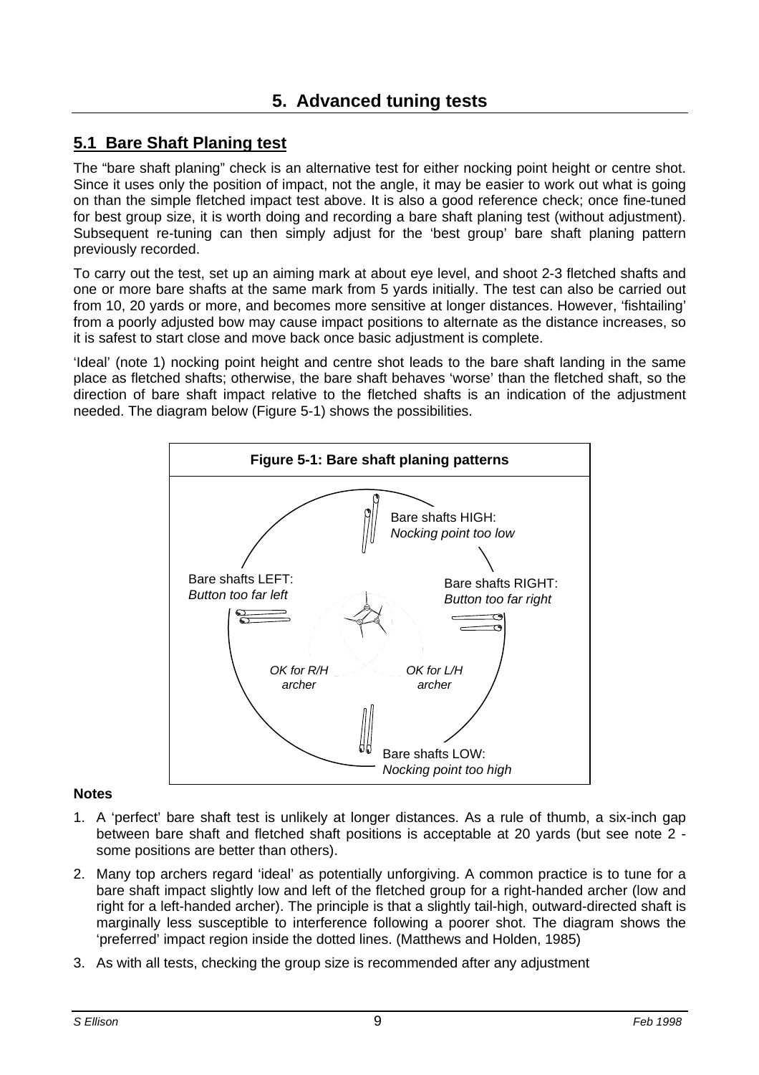### **5.1 Bare Shaft Planing test**

The "bare shaft planing" check is an alternative test for either nocking point height or centre shot. Since it uses only the position of impact, not the angle, it may be easier to work out what is going on than the simple fletched impact test above. It is also a good reference check; once fine-tuned for best group size, it is worth doing and recording a bare shaft planing test (without adjustment). Subsequent re-tuning can then simply adjust for the 'best group' bare shaft planing pattern previously recorded.

To carry out the test, set up an aiming mark at about eye level, and shoot 2-3 fletched shafts and one or more bare shafts at the same mark from 5 yards initially. The test can also be carried out from 10, 20 yards or more, and becomes more sensitive at longer distances. However, 'fishtailing' from a poorly adjusted bow may cause impact positions to alternate as the distance increases, so it is safest to start close and move back once basic adjustment is complete.

'Ideal' (note 1) nocking point height and centre shot leads to the bare shaft landing in the same place as fletched shafts; otherwise, the bare shaft behaves 'worse' than the fletched shaft, so the direction of bare shaft impact relative to the fletched shafts is an indication of the adjustment needed. The diagram below (Figure 5-1) shows the possibilities.



#### **Notes**

- 1. A 'perfect' bare shaft test is unlikely at longer distances. As a rule of thumb, a six-inch gap between bare shaft and fletched shaft positions is acceptable at 20 yards (but see note 2 some positions are better than others).
- 2. Many top archers regard 'ideal' as potentially unforgiving. A common practice is to tune for a bare shaft impact slightly low and left of the fletched group for a right-handed archer (low and right for a left-handed archer). The principle is that a slightly tail-high, outward-directed shaft is marginally less susceptible to interference following a poorer shot. The diagram shows the 'preferred' impact region inside the dotted lines. (Matthews and Holden, 1985)
- 3. As with all tests, checking the group size is recommended after any adjustment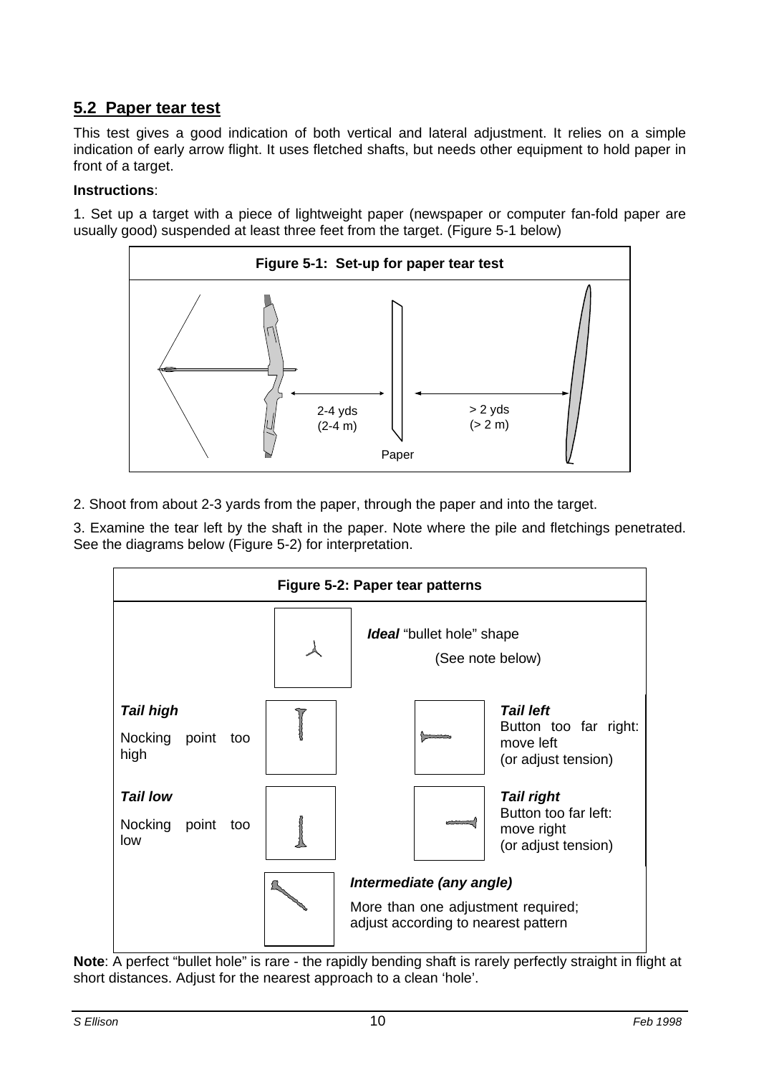## **5.2 Paper tear test**

This test gives a good indication of both vertical and lateral adjustment. It relies on a simple indication of early arrow flight. It uses fletched shafts, but needs other equipment to hold paper in front of a target.

### **Instructions**:

1. Set up a target with a piece of lightweight paper (newspaper or computer fan-fold paper are usually good) suspended at least three feet from the target. (Figure 5-1 below)



2. Shoot from about 2-3 yards from the paper, through the paper and into the target.

3. Examine the tear left by the shaft in the paper. Note where the pile and fletchings penetrated. See the diagrams below (Figure 5-2) for interpretation.



**Note**: A perfect "bullet hole" is rare - the rapidly bending shaft is rarely perfectly straight in flight at short distances. Adjust for the nearest approach to a clean 'hole'.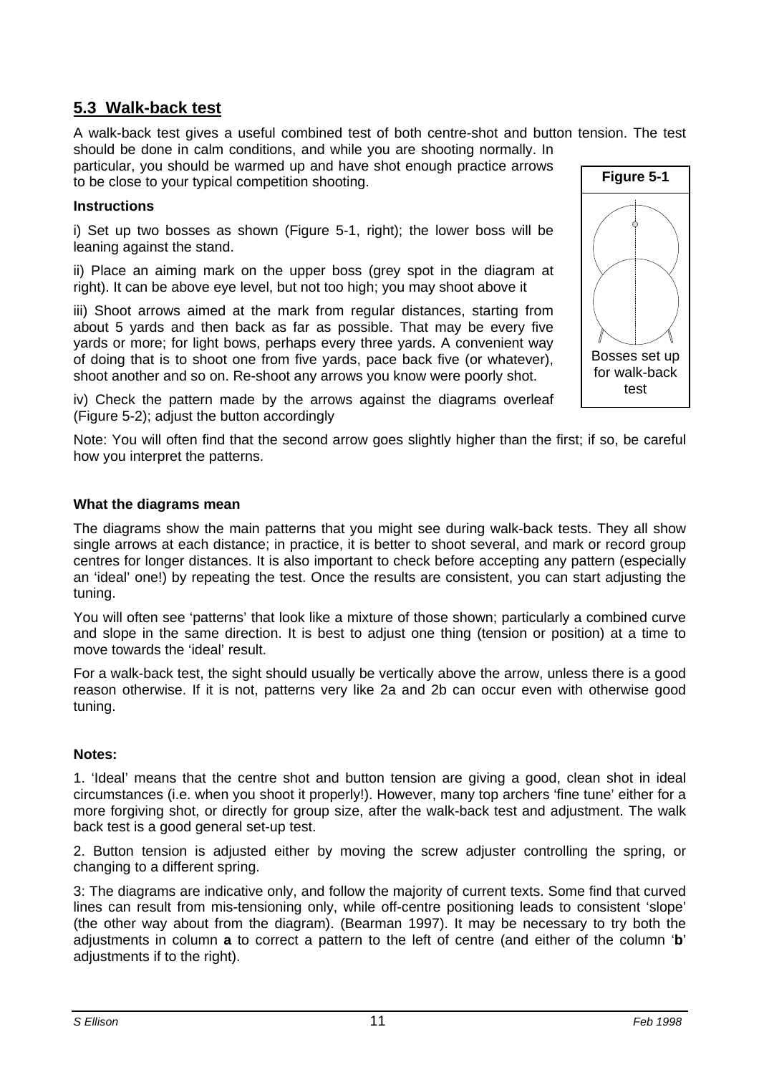### **5.3 Walk-back test**

A walk-back test gives a useful combined test of both centre-shot and button tension. The test should be done in calm conditions, and while you are shooting normally. In

particular, you should be warmed up and have shot enough practice arrows to be close to your typical competition shooting.

### **Instructions**

i) Set up two bosses as shown (Figure 5-1, right); the lower boss will be leaning against the stand.

ii) Place an aiming mark on the upper boss (grey spot in the diagram at right). It can be above eye level, but not too high; you may shoot above it

iii) Shoot arrows aimed at the mark from regular distances, starting from about 5 yards and then back as far as possible. That may be every five yards or more; for light bows, perhaps every three yards. A convenient way of doing that is to shoot one from five yards, pace back five (or whatever), shoot another and so on. Re-shoot any arrows you know were poorly shot.

iv) Check the pattern made by the arrows against the diagrams overleaf (Figure 5-2); adjust the button accordingly

Note: You will often find that the second arrow goes slightly higher than the first; if so, be careful how you interpret the patterns.

### **What the diagrams mean**

The diagrams show the main patterns that you might see during walk-back tests. They all show single arrows at each distance; in practice, it is better to shoot several, and mark or record group centres for longer distances. It is also important to check before accepting any pattern (especially an 'ideal' one!) by repeating the test. Once the results are consistent, you can start adjusting the tuning.

You will often see 'patterns' that look like a mixture of those shown; particularly a combined curve and slope in the same direction. It is best to adjust one thing (tension or position) at a time to move towards the 'ideal' result.

For a walk-back test, the sight should usually be vertically above the arrow, unless there is a good reason otherwise. If it is not, patterns very like 2a and 2b can occur even with otherwise good tuning.

#### **Notes:**

1. 'Ideal' means that the centre shot and button tension are giving a good, clean shot in ideal circumstances (i.e. when you shoot it properly!). However, many top archers 'fine tune' either for a more forgiving shot, or directly for group size, after the walk-back test and adjustment. The walk back test is a good general set-up test.

2. Button tension is adjusted either by moving the screw adjuster controlling the spring, or changing to a different spring.

3: The diagrams are indicative only, and follow the majority of current texts. Some find that curved lines can result from mis-tensioning only, while off-centre positioning leads to consistent 'slope' (the other way about from the diagram). (Bearman 1997). It may be necessary to try both the adjustments in column **a** to correct a pattern to the left of centre (and either of the column '**b**' adjustments if to the right).

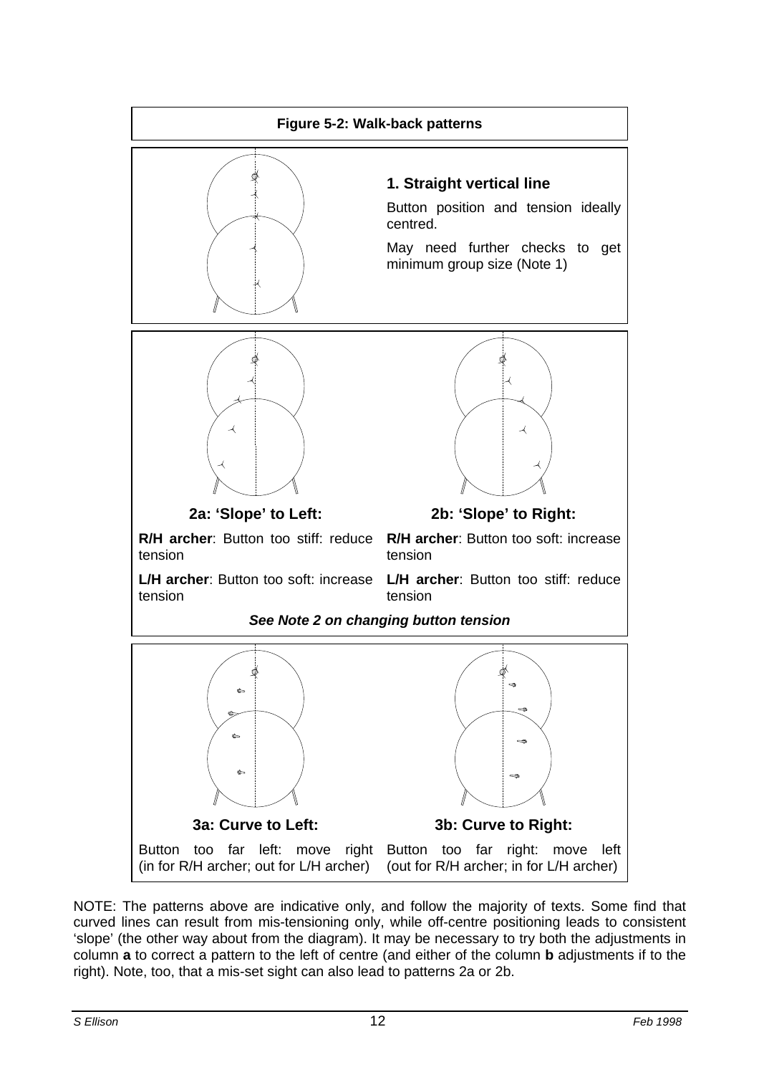

NOTE: The patterns above are indicative only, and follow the majority of texts. Some find that curved lines can result from mis-tensioning only, while off-centre positioning leads to consistent 'slope' (the other way about from the diagram). It may be necessary to try both the adjustments in column **a** to correct a pattern to the left of centre (and either of the column **b** adjustments if to the right). Note, too, that a mis-set sight can also lead to patterns 2a or 2b.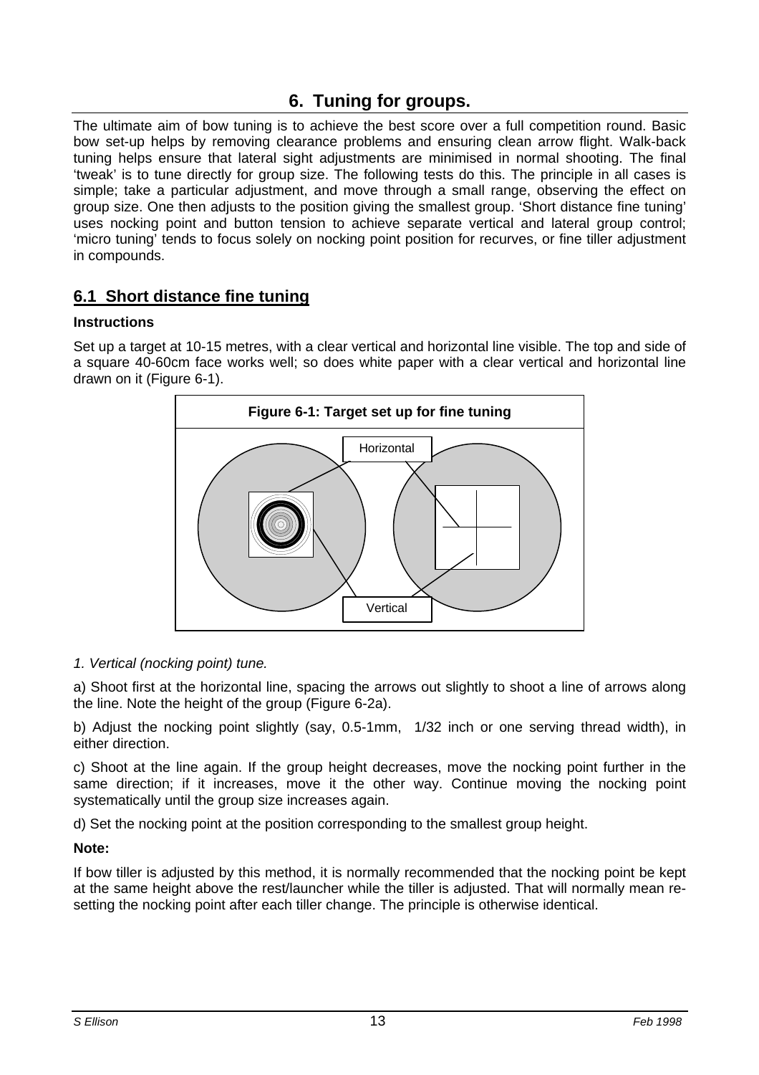# **6. Tuning for groups.**

The ultimate aim of bow tuning is to achieve the best score over a full competition round. Basic bow set-up helps by removing clearance problems and ensuring clean arrow flight. Walk-back tuning helps ensure that lateral sight adjustments are minimised in normal shooting. The final 'tweak' is to tune directly for group size. The following tests do this. The principle in all cases is simple; take a particular adjustment, and move through a small range, observing the effect on group size. One then adjusts to the position giving the smallest group. 'Short distance fine tuning' uses nocking point and button tension to achieve separate vertical and lateral group control; 'micro tuning' tends to focus solely on nocking point position for recurves, or fine tiller adjustment in compounds.

### **6.1 Short distance fine tuning**

### **Instructions**

Set up a target at 10-15 metres, with a clear vertical and horizontal line visible. The top and side of a square 40-60cm face works well; so does white paper with a clear vertical and horizontal line drawn on it (Figure 6-1).



#### *1. Vertical (nocking point) tune.*

a) Shoot first at the horizontal line, spacing the arrows out slightly to shoot a line of arrows along the line. Note the height of the group (Figure 6-2a).

b) Adjust the nocking point slightly (say, 0.5-1mm, 1/32 inch or one serving thread width), in either direction.

c) Shoot at the line again. If the group height decreases, move the nocking point further in the same direction; if it increases, move it the other way. Continue moving the nocking point systematically until the group size increases again.

d) Set the nocking point at the position corresponding to the smallest group height.

#### **Note:**

If bow tiller is adjusted by this method, it is normally recommended that the nocking point be kept at the same height above the rest/launcher while the tiller is adjusted. That will normally mean resetting the nocking point after each tiller change. The principle is otherwise identical.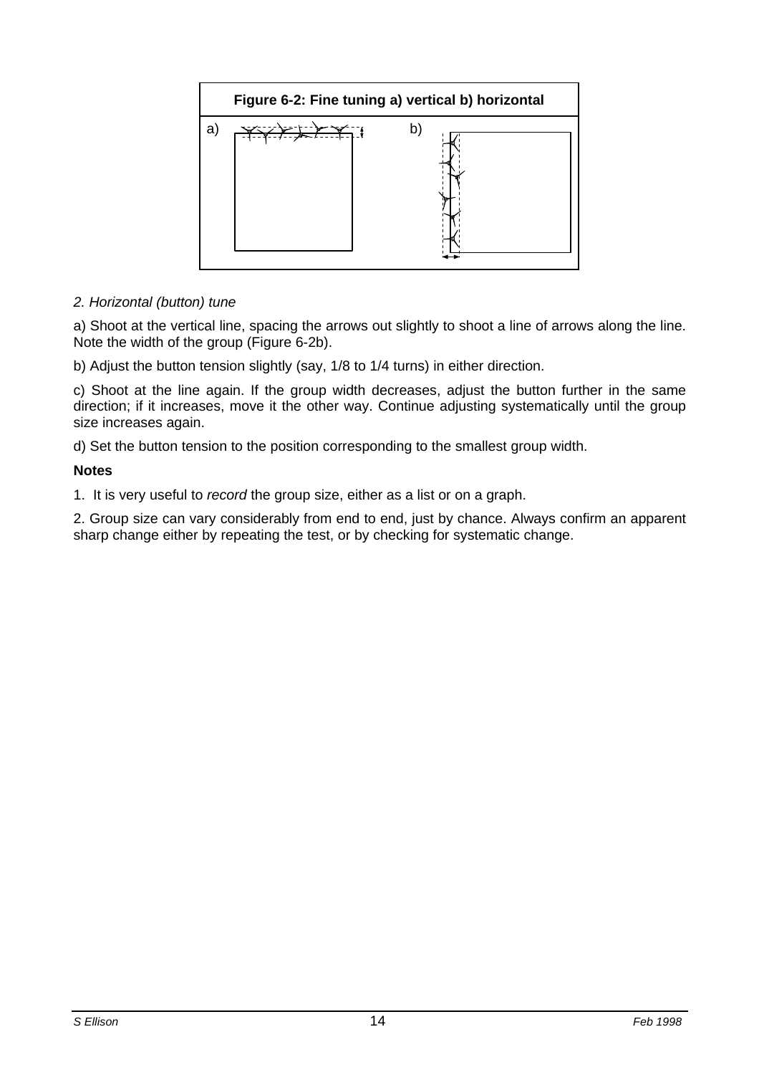

### *2. Horizontal (button) tune*

a) Shoot at the vertical line, spacing the arrows out slightly to shoot a line of arrows along the line. Note the width of the group (Figure 6-2b).

b) Adjust the button tension slightly (say, 1/8 to 1/4 turns) in either direction.

c) Shoot at the line again. If the group width decreases, adjust the button further in the same direction; if it increases, move it the other way. Continue adjusting systematically until the group size increases again.

d) Set the button tension to the position corresponding to the smallest group width.

#### **Notes**

1. It is very useful to *record* the group size, either as a list or on a graph.

2. Group size can vary considerably from end to end, just by chance. Always confirm an apparent sharp change either by repeating the test, or by checking for systematic change.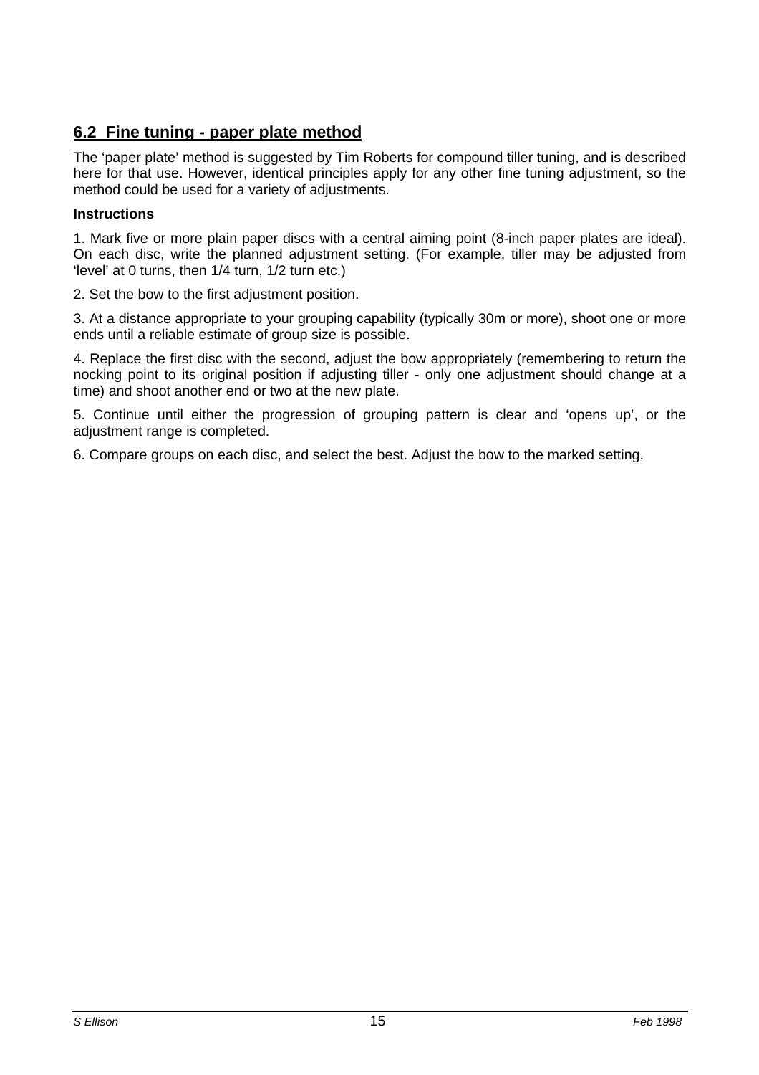### **6.2 Fine tuning - paper plate method**

The 'paper plate' method is suggested by Tim Roberts for compound tiller tuning, and is described here for that use. However, identical principles apply for any other fine tuning adjustment, so the method could be used for a variety of adjustments.

#### **Instructions**

1. Mark five or more plain paper discs with a central aiming point (8-inch paper plates are ideal). On each disc, write the planned adjustment setting. (For example, tiller may be adjusted from 'level' at 0 turns, then 1/4 turn, 1/2 turn etc.)

2. Set the bow to the first adjustment position.

3. At a distance appropriate to your grouping capability (typically 30m or more), shoot one or more ends until a reliable estimate of group size is possible.

4. Replace the first disc with the second, adjust the bow appropriately (remembering to return the nocking point to its original position if adjusting tiller - only one adjustment should change at a time) and shoot another end or two at the new plate.

5. Continue until either the progression of grouping pattern is clear and 'opens up', or the adjustment range is completed.

6. Compare groups on each disc, and select the best. Adjust the bow to the marked setting.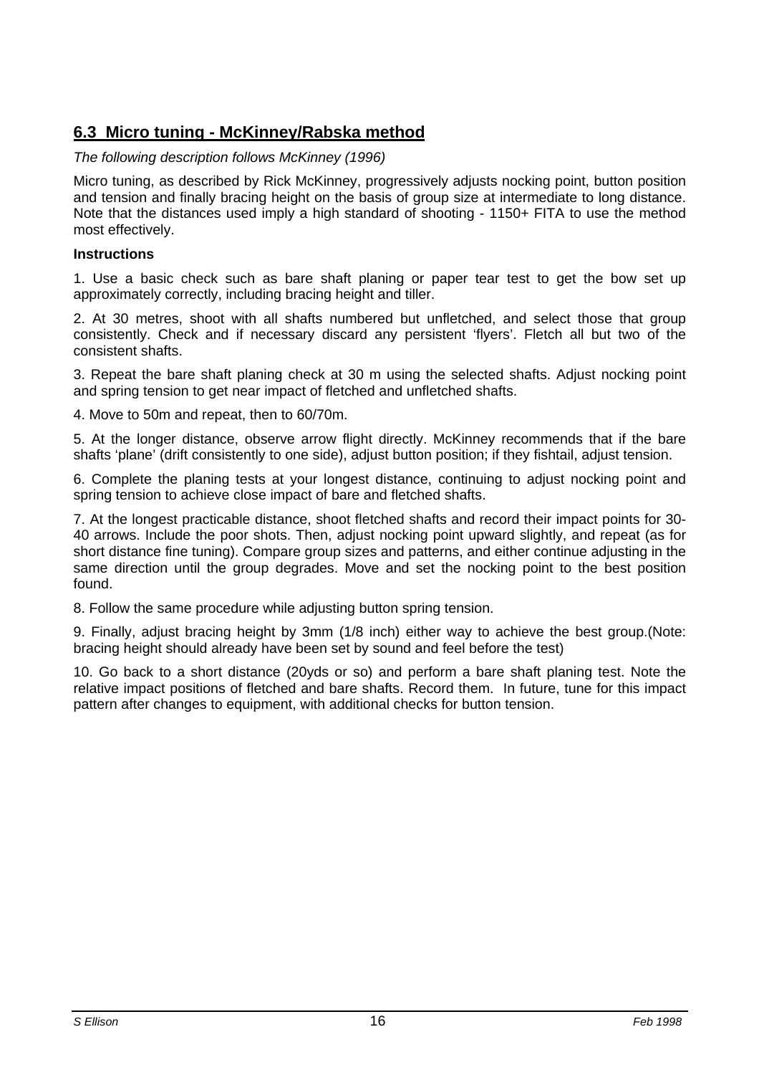### **6.3 Micro tuning - McKinney/Rabska method**

#### *The following description follows McKinney (1996)*

Micro tuning, as described by Rick McKinney, progressively adjusts nocking point, button position and tension and finally bracing height on the basis of group size at intermediate to long distance. Note that the distances used imply a high standard of shooting - 1150+ FITA to use the method most effectively.

#### **Instructions**

1. Use a basic check such as bare shaft planing or paper tear test to get the bow set up approximately correctly, including bracing height and tiller.

2. At 30 metres, shoot with all shafts numbered but unfletched, and select those that group consistently. Check and if necessary discard any persistent 'flyers'. Fletch all but two of the consistent shafts.

3. Repeat the bare shaft planing check at 30 m using the selected shafts. Adjust nocking point and spring tension to get near impact of fletched and unfletched shafts.

4. Move to 50m and repeat, then to 60/70m.

5. At the longer distance, observe arrow flight directly. McKinney recommends that if the bare shafts 'plane' (drift consistently to one side), adjust button position; if they fishtail, adjust tension.

6. Complete the planing tests at your longest distance, continuing to adjust nocking point and spring tension to achieve close impact of bare and fletched shafts.

7. At the longest practicable distance, shoot fletched shafts and record their impact points for 30- 40 arrows. Include the poor shots. Then, adjust nocking point upward slightly, and repeat (as for short distance fine tuning). Compare group sizes and patterns, and either continue adjusting in the same direction until the group degrades. Move and set the nocking point to the best position found.

8. Follow the same procedure while adjusting button spring tension.

9. Finally, adjust bracing height by 3mm (1/8 inch) either way to achieve the best group.(Note: bracing height should already have been set by sound and feel before the test)

10. Go back to a short distance (20yds or so) and perform a bare shaft planing test. Note the relative impact positions of fletched and bare shafts. Record them. In future, tune for this impact pattern after changes to equipment, with additional checks for button tension.